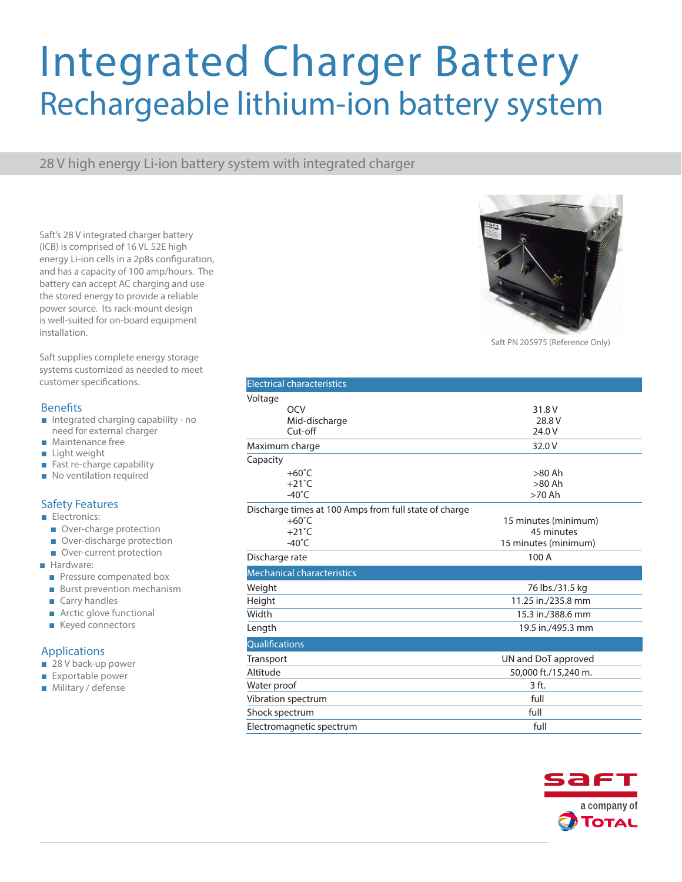# Integrated Charger Battery Rechargeable lithium-ion battery system

28 V high energy Li-ion battery system with integrated charger

Saft's 28 V integrated charger battery (ICB) is comprised of 16 VL 52E high energy Li-ion cells in a 2p8s configuration, and has a capacity of 100 amp/hours. The battery can accept AC charging and use the stored energy to provide a reliable power source. Its rack-mount design is well-suited for on-board equipment installation.

Saft supplies complete energy storage systems customized as needed to meet customer specifications.

### **Benefits**

- Integrated charging capability no need for external charger
- Maintenance free
- Light weight
- Fast re-charge capability
- No ventilation required

## Safety Features

- Electronics:
	- Over-charge protection
	- Over-discharge protection
	- Over-current protection
- Hardware:
	- Pressure compenated box
	- Burst prevention mechanism
	- Carry handles
	- Arctic glove functional
	- Keyed connectors

### Applications

- 28 V back-up power
- Exportable power
- Military / defense



Saft PN 205975 (Reference Only)

|                                                       | <b>Electrical characteristics</b> |                      |
|-------------------------------------------------------|-----------------------------------|----------------------|
| Voltage                                               |                                   |                      |
|                                                       | OCV                               | 31.8 V               |
|                                                       | Mid-discharge                     | 28.8 V               |
|                                                       | Cut-off                           | 24.0 V               |
| Maximum charge                                        |                                   | 32.0 V               |
| Capacity                                              |                                   |                      |
|                                                       | $+60^{\circ}$ C                   | $>80$ Ah             |
|                                                       | $+21^{\circ}$ C                   | $>80$ Ah             |
|                                                       | $-40^{\circ}$ C                   | $>70$ Ah             |
| Discharge times at 100 Amps from full state of charge |                                   |                      |
|                                                       | $+60^{\circ}$ C                   | 15 minutes (minimum) |
|                                                       | $+21^{\circ}$ C                   | 45 minutes           |
|                                                       | $-40^{\circ}$ C                   | 15 minutes (minimum) |
| Discharge rate                                        |                                   | 100 A                |
|                                                       | <b>Mechanical characteristics</b> |                      |
| Weight                                                |                                   | 76 lbs./31.5 kg      |
| Height                                                |                                   | 11.25 in./235.8 mm   |
| Width                                                 |                                   | 15.3 in./388.6 mm    |
| Length                                                |                                   | 19.5 in./495.3 mm    |
| Qualifications                                        |                                   |                      |
| Transport                                             |                                   | UN and DoT approved  |
| Altitude                                              |                                   | 50,000 ft./15,240 m. |
| Water proof                                           |                                   | 3 ft.                |
| Vibration spectrum                                    |                                   | full                 |
| Shock spectrum                                        |                                   | full                 |
| Electromagnetic spectrum                              |                                   | full                 |